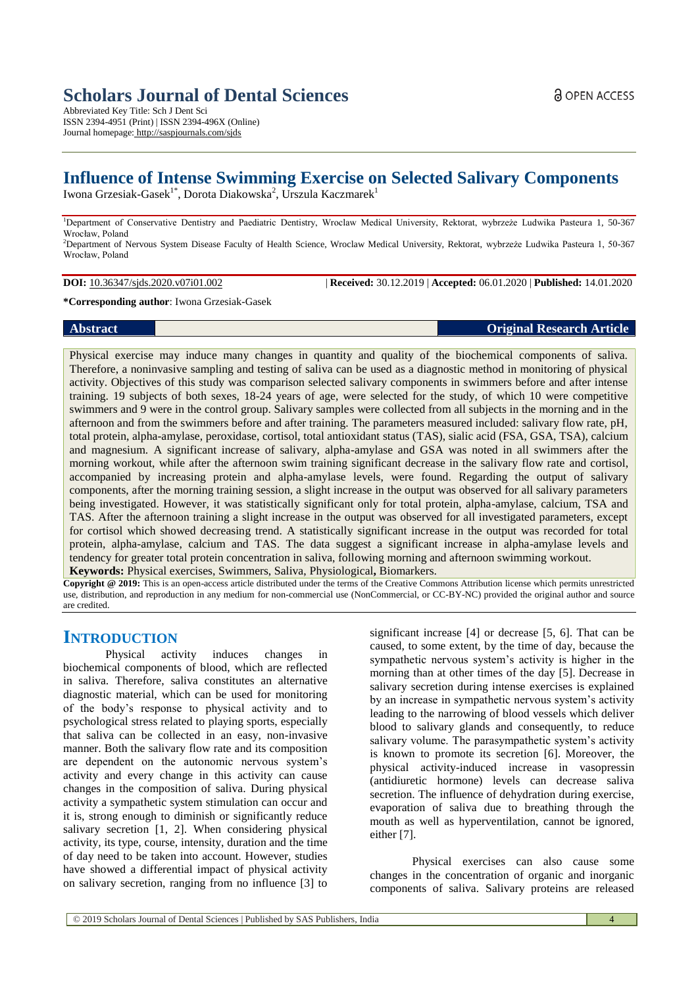# **Scholars Journal of Dental Sciences**

Abbreviated Key Title: Sch J Dent Sci ISSN 2394-4951 (Print) | ISSN 2394-496X (Online) Journal homepage: <http://saspjournals.com/sjds>

# **Influence of Intense Swimming Exercise on Selected Salivary Components**

Iwona Grzesiak-Gasek<sup>1\*</sup>, Dorota Diakowska<sup>2</sup>, Urszula Kaczmarek<sup>1</sup>

<sup>1</sup>Department of Conservative Dentistry and Paediatric Dentistry, Wroclaw Medical University, Rektorat, wybrzeże Ludwika Pasteura 1, 50-367 Wrocław, Poland <sup>2</sup>Department of Nervous System Disease Faculty of Health Science, Wroclaw Medical University, Rektorat, wybrzeże Ludwika Pasteura 1, 50-367

**DOI:** 10.36347/sjds.2020.v07i01.002 | **Received:** 30.12.2019 | **Accepted:** 06.01.2020 | **Published:** 14.01.2020

**\*Corresponding author**: Iwona Grzesiak-Gasek

## **Abstract Original Research Article**

Wrocław, Poland

Physical exercise may induce many changes in quantity and quality of the biochemical components of saliva. Therefore, a noninvasive sampling and testing of saliva can be used as a diagnostic method in monitoring of physical activity. Objectives of this study was comparison selected salivary components in swimmers before and after intense training. 19 subjects of both sexes, 18-24 years of age, were selected for the study, of which 10 were competitive swimmers and 9 were in the control group. Salivary samples were collected from all subjects in the morning and in the afternoon and from the swimmers before and after training. The parameters measured included: salivary flow rate, pH, total protein, alpha-amylase, peroxidase, cortisol, total antioxidant status (TAS), sialic acid (FSA, GSA, TSA), calcium and magnesium. A significant increase of salivary, alpha-amylase and GSA was noted in all swimmers after the morning workout, while after the afternoon swim training significant decrease in the salivary flow rate and cortisol, accompanied by increasing protein and alpha-amylase levels, were found. Regarding the output of salivary components, after the morning training session, a slight increase in the output was observed for all salivary parameters being investigated. However, it was statistically significant only for total protein, alpha-amylase, calcium, TSA and TAS. After the afternoon training a slight increase in the output was observed for all investigated parameters, except for cortisol which showed decreasing trend. A statistically significant increase in the output was recorded for total protein, alpha-amylase, calcium and TAS. The data suggest a significant increase in alpha-amylase levels and tendency for greater total protein concentration in saliva, following morning and afternoon swimming workout. **Keywords:** Physical exercises, Swimmers, Saliva, Physiological**,** Biomarkers.

**Copyright @ 2019:** This is an open-access article distributed under the terms of the Creative Commons Attribution license which permits unrestricted use, distribution, and reproduction in any medium for non-commercial use (NonCommercial, or CC-BY-NC) provided the original author and source are credited.

# **INTRODUCTION**

Physical activity induces changes in biochemical components of blood, which are reflected in saliva. Therefore, saliva constitutes an alternative diagnostic material, which can be used for monitoring of the body's response to physical activity and to psychological stress related to playing sports, especially that saliva can be collected in an easy, non-invasive manner. Both the salivary flow rate and its composition are dependent on the autonomic nervous system's activity and every change in this activity can cause changes in the composition of saliva. During physical activity a sympathetic system stimulation can occur and it is, strong enough to diminish or significantly reduce salivary secretion [1, 2]. When considering physical activity, its type, course, intensity, duration and the time of day need to be taken into account. However, studies have showed a differential impact of physical activity on salivary secretion, ranging from no influence [3] to

significant increase [4] or decrease [5, 6]. That can be caused, to some extent, by the time of day, because the sympathetic nervous system's activity is higher in the morning than at other times of the day [5]. Decrease in salivary secretion during intense exercises is explained by an increase in sympathetic nervous system's activity leading to the narrowing of blood vessels which deliver blood to salivary glands and consequently, to reduce salivary volume. The parasympathetic system's activity is known to promote its secretion [6]. Moreover, the physical activity-induced increase in vasopressin (antidiuretic hormone) levels can decrease saliva secretion. The influence of dehydration during exercise, evaporation of saliva due to breathing through the mouth as well as hyperventilation, cannot be ignored, either [7].

Physical exercises can also cause some changes in the concentration of organic and inorganic components of saliva. Salivary proteins are released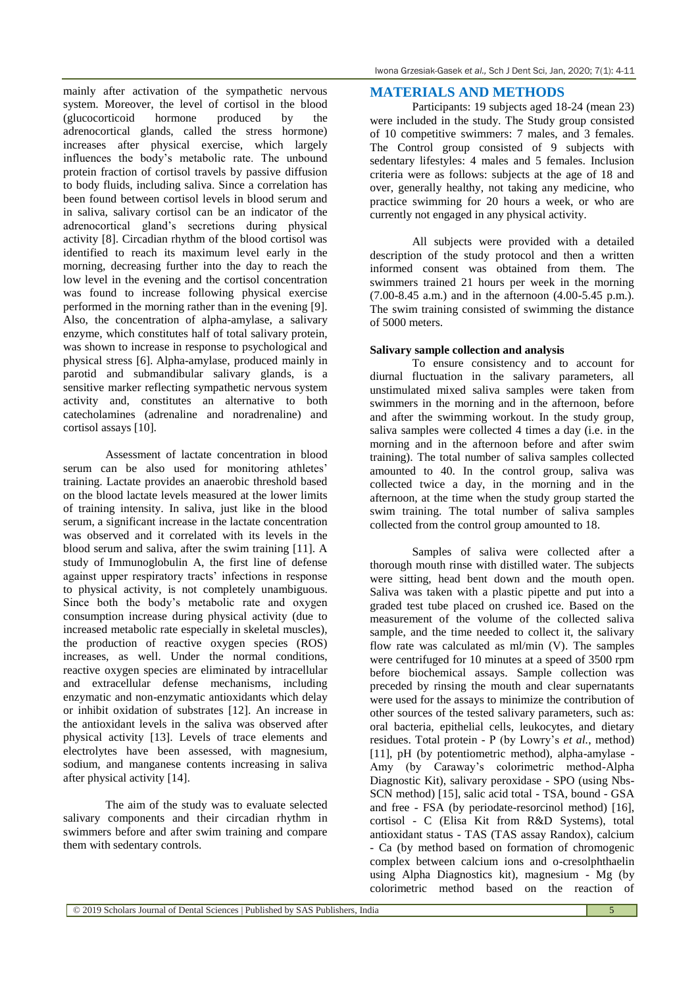mainly after activation of the sympathetic nervous system. Moreover, the level of cortisol in the blood (glucocorticoid hormone produced by the (glucocorticoid hormone produced by the adrenocortical glands, called the stress hormone) increases after physical exercise, which largely influences the body's metabolic rate. The unbound protein fraction of cortisol travels by passive diffusion to body fluids, including saliva. Since a correlation has been found between cortisol levels in blood serum and in saliva, salivary cortisol can be an indicator of the adrenocortical gland's secretions during physical activity [8]. Circadian rhythm of the blood cortisol was identified to reach its maximum level early in the morning, decreasing further into the day to reach the low level in the evening and the cortisol concentration was found to increase following physical exercise performed in the morning rather than in the evening [9]. Also, the concentration of alpha-amylase, a salivary enzyme, which constitutes half of total salivary protein, was shown to increase in response to psychological and physical stress [6]. Alpha-amylase, produced mainly in parotid and submandibular salivary glands, is a sensitive marker reflecting sympathetic nervous system activity and, constitutes an alternative to both catecholamines (adrenaline and noradrenaline) and cortisol assays [10].

Assessment of lactate concentration in blood serum can be also used for monitoring athletes' training. Lactate provides an anaerobic threshold based on the blood lactate levels measured at the lower limits of training intensity. In saliva, just like in the blood serum, a significant increase in the lactate concentration was observed and it correlated with its levels in the blood serum and saliva, after the swim training [11]. A study of Immunoglobulin A, the first line of defense against upper respiratory tracts' infections in response to physical activity, is not completely unambiguous. Since both the body's metabolic rate and oxygen consumption increase during physical activity (due to increased metabolic rate especially in skeletal muscles), the production of reactive oxygen species (ROS) increases, as well. Under the normal conditions, reactive oxygen species are eliminated by intracellular and extracellular defense mechanisms, including enzymatic and non-enzymatic antioxidants which delay or inhibit oxidation of substrates [12]. An increase in the antioxidant levels in the saliva was observed after physical activity [13]. Levels of trace elements and electrolytes have been assessed, with magnesium, sodium, and manganese contents increasing in saliva after physical activity [14].

The aim of the study was to evaluate selected salivary components and their circadian rhythm in swimmers before and after swim training and compare them with sedentary controls.

## **MATERIALS AND METHODS**

Participants: 19 subjects aged 18-24 (mean 23) were included in the study. The Study group consisted of 10 competitive swimmers: 7 males, and 3 females. The Control group consisted of 9 subjects with sedentary lifestyles: 4 males and 5 females. Inclusion criteria were as follows: subjects at the age of 18 and over, generally healthy, not taking any medicine, who practice swimming for 20 hours a week, or who are currently not engaged in any physical activity.

All subjects were provided with a detailed description of the study protocol and then a written informed consent was obtained from them. The swimmers trained 21 hours per week in the morning (7.00-8.45 a.m.) and in the afternoon (4.00-5.45 p.m.). The swim training consisted of swimming the distance of 5000 meters.

## **Salivary sample collection and analysis**

To ensure consistency and to account for diurnal fluctuation in the salivary parameters, all unstimulated mixed saliva samples were taken from swimmers in the morning and in the afternoon, before and after the swimming workout. In the study group, saliva samples were collected 4 times a day (i.e. in the morning and in the afternoon before and after swim training). The total number of saliva samples collected amounted to 40. In the control group, saliva was collected twice a day, in the morning and in the afternoon, at the time when the study group started the swim training. The total number of saliva samples collected from the control group amounted to 18.

Samples of saliva were collected after a thorough mouth rinse with distilled water. The subjects were sitting, head bent down and the mouth open. Saliva was taken with a plastic pipette and put into a graded test tube placed on crushed ice. Based on the measurement of the volume of the collected saliva sample, and the time needed to collect it, the salivary flow rate was calculated as ml/min (V). The samples were centrifuged for 10 minutes at a speed of 3500 rpm before biochemical assays. Sample collection was preceded by rinsing the mouth and clear supernatants were used for the assays to minimize the contribution of other sources of the tested salivary parameters, such as: oral bacteria, epithelial cells, leukocytes, and dietary residues. Total protein - P (by Lowry's *et al.*, method) [11], pH (by potentiometric method), alpha-amylase - Amy (by Caraway's colorimetric method-Alpha Diagnostic Kit), salivary peroxidase - SPO (using Nbs-SCN method) [15], salic acid total - TSA, bound - GSA and free - FSA (by periodate-resorcinol method) [16], cortisol - C (Elisa Kit from R&D Systems), total antioxidant status - TAS (TAS assay Randox), calcium - Ca (by method based on formation of chromogenic complex between calcium ions and o-cresolphthaelin using Alpha Diagnostics kit), magnesium - Mg (by colorimetric method based on the reaction of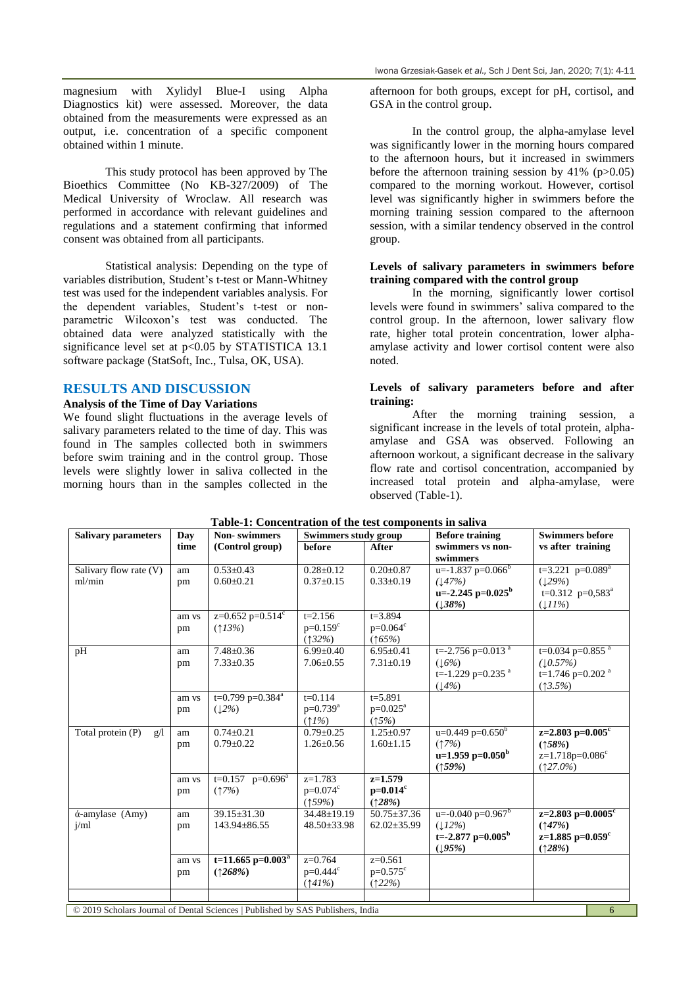magnesium with Xylidyl Blue-I using Alpha Diagnostics kit) were assessed. Moreover, the data obtained from the measurements were expressed as an output, i.e. concentration of a specific component obtained within 1 minute.

This study protocol has been approved by The Bioethics Committee (No KB-327/2009) of The Medical University of Wroclaw. All research was performed in accordance with relevant guidelines and regulations and a statement confirming that informed consent was obtained from all participants.

Statistical analysis: Depending on the type of variables distribution, Student's t-test or Mann-Whitney test was used for the independent variables analysis. For the dependent variables, Student's t-test or nonparametric Wilcoxon's test was conducted. The obtained data were analyzed statistically with the significance level set at  $p<0.05$  by STATISTICA 13.1 software package (StatSoft, Inc., Tulsa, OK, USA).

## **RESULTS AND DISCUSSION**

#### **Analysis of the Time of Day Variations**

We found slight fluctuations in the average levels of salivary parameters related to the time of day. This was found in The samples collected both in swimmers before swim training and in the control group. Those levels were slightly lower in saliva collected in the morning hours than in the samples collected in the afternoon for both groups, except for pH, cortisol, and GSA in the control group.

In the control group, the alpha-amylase level was significantly lower in the morning hours compared to the afternoon hours, but it increased in swimmers before the afternoon training session by  $41\%$  (p $>0.05$ ) compared to the morning workout. However, cortisol level was significantly higher in swimmers before the morning training session compared to the afternoon session, with a similar tendency observed in the control group.

#### **Levels of salivary parameters in swimmers before training compared with the control group**

In the morning, significantly lower cortisol levels were found in swimmers' saliva compared to the control group. In the afternoon, lower salivary flow rate, higher total protein concentration, lower alphaamylase activity and lower cortisol content were also noted.

#### **Levels of salivary parameters before and after training:**

After the morning training session, a significant increase in the levels of total protein, alphaamylase and GSA was observed. Following an afternoon workout, a significant decrease in the salivary flow rate and cortisol concentration, accompanied by increased total protein and alpha-amylase, were observed (Table-1).

| <b>Salivary parameters</b>                                                           | Day   | <b>Non-swimmers</b>            | <b>Swimmers study group</b> |                   | <b>Before training</b>            | <b>Swimmers before</b>           |  |  |
|--------------------------------------------------------------------------------------|-------|--------------------------------|-----------------------------|-------------------|-----------------------------------|----------------------------------|--|--|
|                                                                                      | time  | (Control group)                | before                      | After             | swimmers vs non-                  | vs after training                |  |  |
|                                                                                      |       |                                |                             |                   | swimmers                          |                                  |  |  |
| Salivary flow rate (V)                                                               | am    | $0.53 \pm 0.43$                | $0.28 \pm 0.12$             | $0.20 \pm 0.87$   | $u=-1.837$ p=0.066 <sup>b</sup>   | $t=3.221$ p=0.089 <sup>a</sup>   |  |  |
| ml/min                                                                               | pm    | $0.60 \pm 0.21$                | $0.37 \pm 0.15$             | $0.33 \pm 0.19$   | (147%)                            | (129%)                           |  |  |
|                                                                                      |       |                                |                             |                   | $u=-2.245$ p=0.025 <sup>b</sup>   | $t=0.312$ p=0,583 <sup>a</sup>   |  |  |
|                                                                                      |       |                                |                             |                   | (138%)                            | (111%)                           |  |  |
|                                                                                      | am vs | $z=0.652$ p=0.514°             | $t = 2.156$                 | $t = 3.894$       |                                   |                                  |  |  |
|                                                                                      | pm    | (13%)                          | $p=0.159^{\circ}$           | $p=0.064^{\circ}$ |                                   |                                  |  |  |
|                                                                                      |       |                                | (132%)                      | (165%)            |                                   |                                  |  |  |
| pH                                                                                   | am    | $7.48 \pm 0.36$                | $6.99 \pm 0.40$             | $6.95 \pm 0.41$   | $t = -2.756$ p=0.013 <sup>a</sup> | $t=0.034$ p=0.855 $^{a}$         |  |  |
|                                                                                      | pm    | $7.33 \pm 0.35$                | $7.06 \pm 0.55$             | $7.31 \pm 0.19$   | (16%)                             | (10.57%)                         |  |  |
|                                                                                      |       |                                |                             |                   | t= $-1.229$ p=0.235 $^a$          | t=1.746 p=0.202 $a$              |  |  |
|                                                                                      |       |                                |                             |                   | (14%)                             | $(13.5\%)$                       |  |  |
|                                                                                      | am vs | t=0.799 p=0.384 <sup>a</sup>   | $t = 0.114$                 | $t = 5.891$       |                                   |                                  |  |  |
|                                                                                      | pm    | (12%)                          | $p=0.739^{a}$               | $p=0.025^a$       |                                   |                                  |  |  |
|                                                                                      |       |                                | $(1\%)$                     | (15%)             |                                   |                                  |  |  |
| Total protein (P)<br>$\mathfrak{g}/\mathfrak{l}$                                     | am    | $0.74 \pm 0.21$                | $0.79 \pm 0.25$             | $1.25 \pm 0.97$   | $u=0.449$ p=0.650 <sup>b</sup>    | z=2.803 p= $0.005^{\circ}$       |  |  |
|                                                                                      | pm    | $0.79 \pm 0.22$                | $1.26 \pm 0.56$             | $1.60 \pm 1.15$   | (17%)                             | (158%)                           |  |  |
|                                                                                      |       |                                |                             |                   | u=1.959 p=0.050 <sup>b</sup>      | $z=1.718p=0.086^c$               |  |  |
|                                                                                      |       |                                |                             |                   | (159%)                            | $(127.0\%)$                      |  |  |
|                                                                                      | am vs | $t=0.157$ p=0.696 <sup>a</sup> | $z=1.783$                   | $z=1.579$         |                                   |                                  |  |  |
|                                                                                      | pm    | (17%)                          | $p=0.074^{\circ}$           | $p=0.014^c$       |                                   |                                  |  |  |
|                                                                                      |       |                                | (159%)                      | (128%)            |                                   |                                  |  |  |
| ά-amylase (Amy)                                                                      | am    | $39.15 \pm 31.30$              | 34.48±19.19                 | $50.75 \pm 37.36$ | $u=-0.040$ p=0.967 <sup>b</sup>   | z=2.803 p= $0.0005$ <sup>c</sup> |  |  |
| $i$ /ml                                                                              | pm    | $143.94 \pm 86.55$             | 48.50±33.98                 | $62.02 \pm 35.99$ | (112%)                            | (147%)                           |  |  |
|                                                                                      |       |                                |                             |                   | t=-2.877 p= $0.005b$              | $z=1.885$ p=0.059 <sup>c</sup>   |  |  |
|                                                                                      |       |                                |                             |                   | (195%)                            | (128%)                           |  |  |
|                                                                                      | am vs | t=11.665 p= $0.003a$           | $\overline{z=0.764}$        | $z=0.561$         |                                   |                                  |  |  |
|                                                                                      | pm    | (1268%)                        | $p=0.444^c$                 | $p=0.575^{\circ}$ |                                   |                                  |  |  |
|                                                                                      |       |                                | (141%)                      | (122%)            |                                   |                                  |  |  |
|                                                                                      |       |                                |                             |                   |                                   |                                  |  |  |
| © 2019 Scholars Journal of Dental Sciences   Published by SAS Publishers, India<br>6 |       |                                |                             |                   |                                   |                                  |  |  |

## **Table-1: Concentration of the test components in saliva**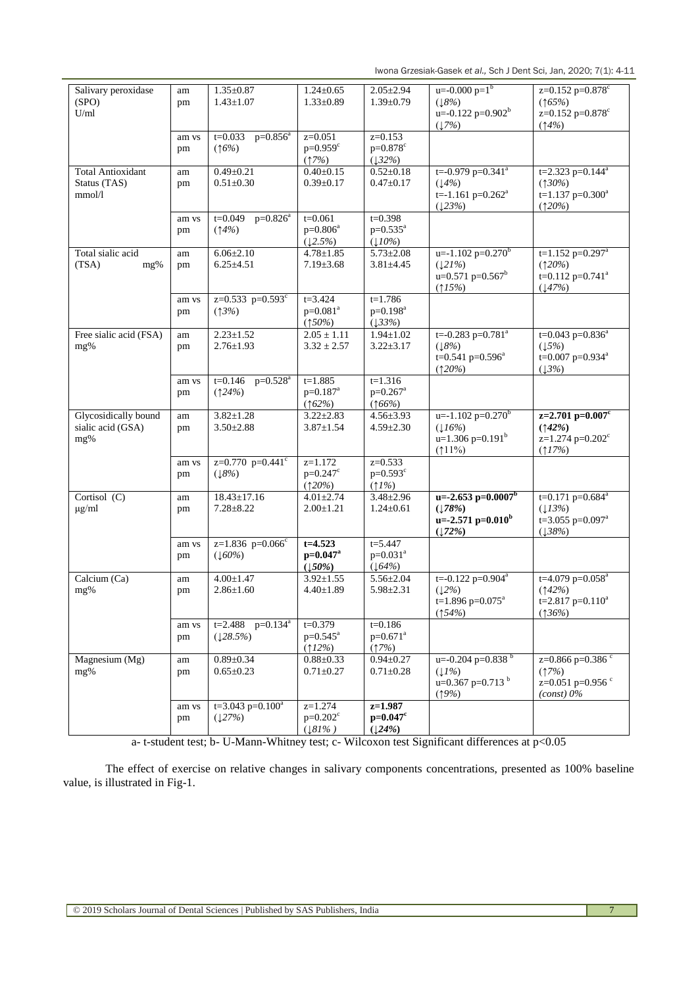Iwona Grzesiak-Gasek *et al.,* Sch J Dent Sci, Jan, 2020; 7(1): 4-11

| Salivary peroxidase      | am    | $1.35 \pm 0.87$                | $1.24 \pm 0.65$       | $2.05 \pm 2.94$       | $u=-0.000 p=1^{b}$                    | $z=0.152$ p=0.878°               |
|--------------------------|-------|--------------------------------|-----------------------|-----------------------|---------------------------------------|----------------------------------|
| (SPO)                    | pm    | $1.43 \pm 1.07$                | $1.33 \pm 0.89$       | $1.39 \pm 0.79$       | (18%)                                 | (165%)                           |
| U/ml                     |       |                                |                       |                       | $u=-0.122$ p=0.902 <sup>b</sup>       | z=0.152 p=0.878 <sup>c</sup>     |
|                          |       |                                |                       |                       |                                       | (14%)                            |
|                          |       |                                |                       |                       | (17%)                                 |                                  |
|                          | am vs | $p=0.856^a$<br>$t = 0.033$     | $z=0.051$             | $z=0.153$             |                                       |                                  |
|                          | pm    | (16%)                          | $p=0.959^c$           | $p=0.878^{c}$         |                                       |                                  |
|                          |       |                                | (17%)                 | (132%)                |                                       |                                  |
|                          |       |                                |                       |                       |                                       |                                  |
| <b>Total Antioxidant</b> | am    | $0.49 \pm 0.21$                | $0.40 \pm 0.15$       | $0.52 \pm 0.18$       | $t = -0.979$ $p = 0.341$ <sup>a</sup> | t=2.323 p=0.144 <sup>a</sup>     |
| Status (TAS)             | pm    | $0.51 \pm 0.30$                | $0.39 \pm 0.17$       | $0.47 \pm 0.17$       | (14%)                                 | (130%)                           |
| mmol/l                   |       |                                |                       |                       | t=-1.161 p= $0.262^a$                 | $t=1.137$ p=0.300 <sup>a</sup>   |
|                          |       |                                |                       |                       | (123%)                                | (120%)                           |
|                          |       | $p=0.826^a$                    |                       |                       |                                       |                                  |
|                          | am vs | $t = 0.049$                    | $t = 0.061$           | $t = 0.398$           |                                       |                                  |
|                          | pm    | (14%)                          | $p=0.806^a$           | $p=0.535^{a}$         |                                       |                                  |
|                          |       |                                | (12.5%)               | $(10\%)$              |                                       |                                  |
| Total sialic acid        | am    | $6.06 \pm 2.10$                | $4.78 \pm 1.85$       | $5.73 \pm 2.08$       | $u=-1.102$ p=0.270 <sup>b</sup>       | $t=1.152$ p=0.297 <sup>a</sup>   |
|                          |       |                                |                       |                       |                                       |                                  |
| (TSA)<br>mg%             | pm    | $6.25 \pm 4.51$                | $7.19 \pm 3.68$       | $3.81 \pm 4.45$       | (121%)                                | (120%)                           |
|                          |       |                                |                       |                       | $u=0.571$ p=0.567 <sup>b</sup>        | t=0.112 p=0.741 <sup>a</sup>     |
|                          |       |                                |                       |                       | (15%)                                 | (147%)                           |
|                          | am vs | $z=0.533$ p=0.593°             | $t = 3.424$           | $t = 1.786$           |                                       |                                  |
|                          |       |                                |                       |                       |                                       |                                  |
|                          | pm    | (13%)                          | $p=0.081^{a}$         | $p=0.198^a$           |                                       |                                  |
|                          |       |                                | (150%)                | (133%)                |                                       |                                  |
| Free sialic acid (FSA)   | am    | $2.23 \pm 1.52$                | $2.05 \pm 1.11$       | $1.94 \pm 1.02$       | $t = -0.283$ p=0.781 <sup>a</sup>     | $t=0.043$ p=0.836 <sup>a</sup>   |
| mg%                      | pm    | $2.76 \pm 1.93$                | $3.32 \pm 2.57$       | $3.22 \pm 3.17$       | (18%)                                 | (15%)                            |
|                          |       |                                |                       |                       |                                       |                                  |
|                          |       |                                |                       |                       | t=0.541 p=0.596 <sup>a</sup>          | t=0.007 $p=0.934^a$              |
|                          |       |                                |                       |                       | (120%)                                | (13%)                            |
|                          | am vs | $t=0.146$<br>$p=0.528^{a}$     | $t = 1.885$           | $t=1.316$             |                                       |                                  |
|                          | pm    | (124%)                         | $p=0.187^a$           | $p=0.267^a$           |                                       |                                  |
|                          |       |                                |                       |                       |                                       |                                  |
|                          |       |                                | (162%)                | (166%)                |                                       |                                  |
| Glycosidically bound     | am    | $3.82 \pm 1.28$                | $3.22 \pm 2.83$       | $4.56 \pm 3.93$       | $u=-1.102$ p= $0.270b$                | $z=2.701$ p=0.007 <sup>c</sup>   |
| sialic acid (GSA)        | pm    | $3.50 \pm 2.88$                | $3.87 \pm 1.54$       | $4.59 \pm 2.30$       | (116%)                                | (142%)                           |
| mg%                      |       |                                |                       |                       | $u=1.306$ p=0.191 <sup>b</sup>        | z=1.274 p=0.202 <sup>c</sup>     |
|                          |       |                                |                       |                       |                                       |                                  |
|                          |       |                                |                       |                       | $(11\%)$                              | $(17\%)$                         |
|                          | am vs | $z=0.770$ p=0.441 <sup>c</sup> | $z=1.172$             | $z=0.533$             |                                       |                                  |
|                          | pm    | (18%)                          | $p=0.247^c$           | $p=0.593^c$           |                                       |                                  |
|                          |       |                                | (120%)                | $(1\%)$               |                                       |                                  |
|                          |       |                                |                       |                       |                                       |                                  |
| Cortisol $(C)$           | am    | $18.43 \pm 17.16$              | $4.01 \pm 2.74$       | $3.48 \pm 2.96$       | $u=-2.653 p=0.0007b$                  | $t=0.171$ p=0.684 <sup>a</sup>   |
| $\mu$ g/ml               | pm    | $7.28 \pm 8.22$                | $2.00 \pm 1.21$       | $1.24 \pm 0.61$       | (178%)                                | (13%)                            |
|                          |       |                                |                       |                       | u= $-2.571$ p= $0.010b$               | t=3.055 p=0.097 <sup>a</sup>     |
|                          |       |                                |                       |                       | (172%)                                | (138%)                           |
|                          |       |                                |                       |                       |                                       |                                  |
|                          | am vs | z=1.836 $p=0.066^c$            | $t=4.523$             | $t = 5.447$           |                                       |                                  |
|                          | pm    | (160%)                         | $p=0.047^a$           | $p=0.031^{a}$         |                                       |                                  |
|                          |       |                                | (150%)                | (164%)                |                                       |                                  |
| Calcium (Ca)             | am    | $4.00 \pm 1.47$                | $3.92 \pm 1.55$       | $5.56 \pm 2.04$       | $t = -0.122$ p=0.904 <sup>a</sup>     | $t=4.079$ $p=0.058$ <sup>a</sup> |
|                          |       |                                |                       |                       |                                       |                                  |
| mg%                      | pm    | $2.86 \pm 1.60$                | $4.40 \pm 1.89$       | $5.98 \pm 2.31$       | (12%)                                 | (142%)                           |
|                          |       |                                |                       |                       | t=1.896 p= $0.075^a$                  | t=2.817 p=0.110 <sup>a</sup>     |
|                          |       |                                |                       |                       | (154%)                                | (136%)                           |
|                          | am vs | $t=2.488$ $p=0.134^a$          | $t = 0.379$           | $t = 0.186$           |                                       |                                  |
|                          |       |                                |                       | $p=0.671^{a}$         |                                       |                                  |
|                          | pm    | (128.5%)                       | $p=0.545^{\text{a}}$  |                       |                                       |                                  |
|                          |       |                                | (12%)                 | (17%)                 |                                       |                                  |
| Magnesium (Mg)           | am    | $0.89 \pm 0.34$                | $0.88 \pm 0.33$       | $0.94 \pm 0.27$       | $u=-0.204 \overline{p=0.838}^{b}$     | z= $0.866$ p= $0.386$ $\degree$  |
| mg%                      | pm    | $0.65 \pm 0.23$                | $0.71 \pm 0.27$       | $0.71 \pm 0.28$       | (11%)                                 | (17%)                            |
|                          |       |                                |                       |                       | $u=0.367$ p=0.713 <sup>b</sup>        | z=0.051 p=0.956 $\degree$        |
|                          |       |                                |                       |                       |                                       |                                  |
|                          |       |                                |                       |                       | (19%)                                 | (const) 0%                       |
|                          | am vs | $t=3.043$ p=0.100 <sup>a</sup> | $z=1.274$             | $z=1.987$             |                                       |                                  |
|                          |       |                                |                       |                       |                                       |                                  |
|                          |       |                                |                       |                       |                                       |                                  |
|                          | pm    | (127%)                         | $p=0.202^c$<br>(181%) | $p=0.047^c$<br>(124%) |                                       |                                  |

a- t-student test; b- U-Mann-Whitney test; c- Wilcoxon test Significant differences at p<0.05

The effect of exercise on relative changes in salivary components concentrations, presented as 100% baseline value, is illustrated in Fig-1.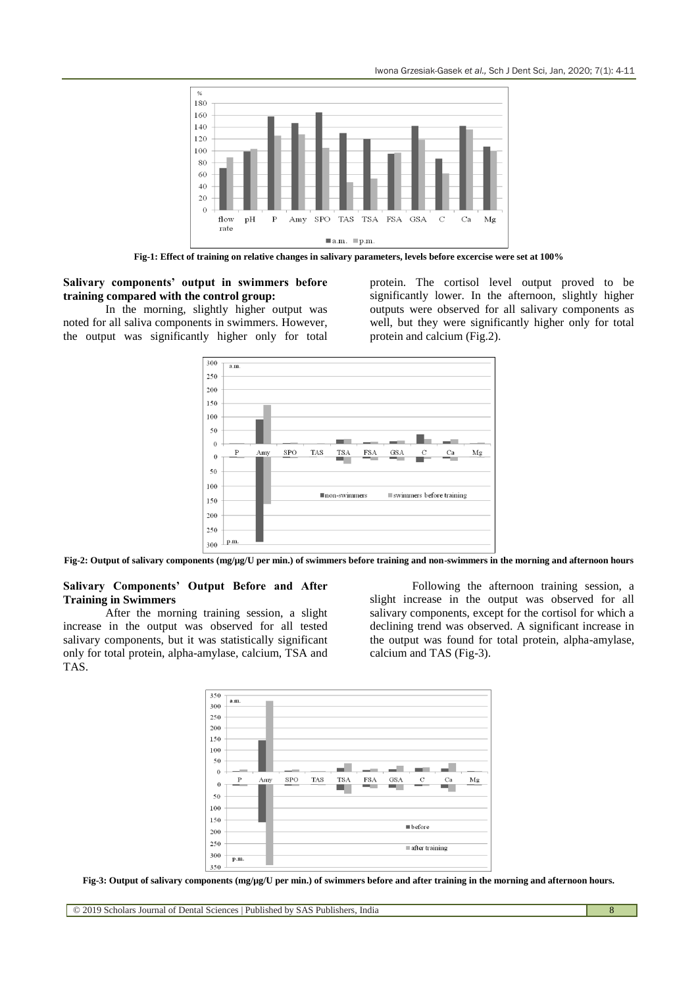Iwona Grzesiak-Gasek *et al.,* Sch J Dent Sci, Jan, 2020; 7(1): 4-11



**Fig-1: Effect of training on relative changes in salivary parameters, levels before excercise were set at 100%**

#### **Salivary components' output in swimmers before training compared with the control group:**

In the morning, slightly higher output was noted for all saliva components in swimmers. However, the output was significantly higher only for total protein. The cortisol level output proved to be significantly lower. In the afternoon, slightly higher outputs were observed for all salivary components as well, but they were significantly higher only for total protein and calcium (Fig.2).



**Fig-2: Output of salivary components (mg/µg/U per min.) of swimmers before training and non-swimmers in the morning and afternoon hours**

#### **Salivary Components' Output Before and After Training in Swimmers**

After the morning training session, a slight increase in the output was observed for all tested salivary components, but it was statistically significant only for total protein, alpha-amylase, calcium, TSA and TAS.

Following the afternoon training session, a slight increase in the output was observed for all salivary components, except for the cortisol for which a declining trend was observed. A significant increase in the output was found for total protein, alpha-amylase, calcium and TAS (Fig-3).



**Fig-3: Output of salivary components (mg/µg/U per min.) of swimmers before and after training in the morning and afternoon hours.**

© 2019 Scholars Journal of Dental Sciences | Published by SAS Publishers, India 8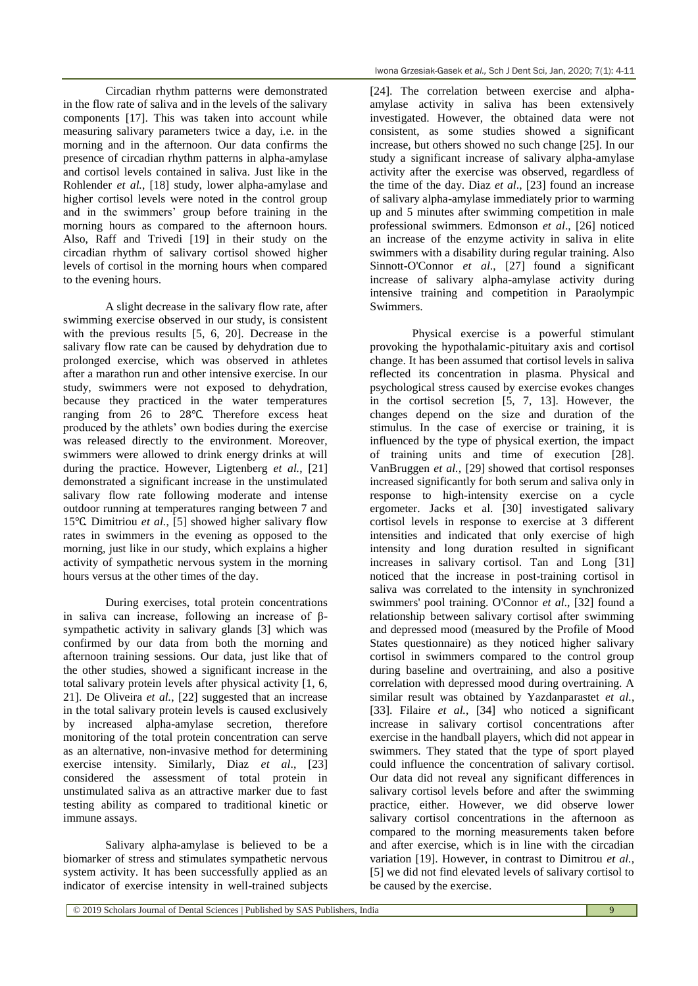Circadian rhythm patterns were demonstrated in the flow rate of saliva and in the levels of the salivary components [17]. This was taken into account while measuring salivary parameters twice a day, i.e. in the morning and in the afternoon. Our data confirms the presence of circadian rhythm patterns in alpha-amylase and cortisol levels contained in saliva. Just like in the Rohlender *et al.*, [18] study, lower alpha-amylase and higher cortisol levels were noted in the control group and in the swimmers' group before training in the morning hours as compared to the afternoon hours. Also, Raff and Trivedi [19] in their study on the circadian rhythm of salivary cortisol showed higher levels of cortisol in the morning hours when compared to the evening hours.

A slight decrease in the salivary flow rate, after swimming exercise observed in our study, is consistent with the previous results [5, 6, 20]. Decrease in the salivary flow rate can be caused by dehydration due to prolonged exercise, which was observed in athletes after a marathon run and other intensive exercise. In our study, swimmers were not exposed to dehydration, because they practiced in the water temperatures ranging from 26 to 28℃. Therefore excess heat produced by the athlets' own bodies during the exercise was released directly to the environment. Moreover, swimmers were allowed to drink energy drinks at will during the practice. However, Ligtenberg *et al.*, [21] demonstrated a significant increase in the unstimulated salivary flow rate following moderate and intense outdoor running at temperatures ranging between 7 and 15℃. Dimitriou *et al.*, [5] showed higher salivary flow rates in swimmers in the evening as opposed to the morning, just like in our study, which explains a higher activity of sympathetic nervous system in the morning hours versus at the other times of the day.

During exercises, total protein concentrations in saliva can increase, following an increase of βsympathetic activity in salivary glands [3] which was confirmed by our data from both the morning and afternoon training sessions. Our data, just like that of the other studies, showed a significant increase in the total salivary protein levels after physical activity [1, 6, 21]. De Oliveira *et al.*, [22] suggested that an increase in the total salivary protein levels is caused exclusively by increased alpha-amylase secretion, therefore monitoring of the total protein concentration can serve as an alternative, non-invasive method for determining exercise intensity. Similarly, Diaz *et al*., [23] considered the assessment of total protein in unstimulated saliva as an attractive marker due to fast testing ability as compared to traditional kinetic or immune assays.

Salivary alpha-amylase is believed to be a biomarker of stress and stimulates sympathetic nervous system activity. It has been successfully applied as an indicator of exercise intensity in well-trained subjects

[24]. The correlation between exercise and alphaamylase activity in saliva has been extensively investigated. However, the obtained data were not consistent, as some studies showed a significant increase, but others showed no such change [25]. In our study a significant increase of salivary alpha-amylase activity after the exercise was observed, regardless of the time of the day. Diaz *et al*., [23] found an increase of salivary alpha-amylase immediately prior to warming up and 5 minutes after swimming competition in male professional swimmers. Edmonson *et al*., [26] noticed an increase of the enzyme activity in saliva in elite swimmers with a disability during regular training. Also Sinnott-O'Connor *et al*., [27] found a significant increase of salivary alpha-amylase activity during intensive training and competition in Paraolympic Swimmers.

Physical exercise is a powerful stimulant provoking the hypothalamic-pituitary axis and cortisol change. It has been assumed that cortisol levels in saliva reflected its concentration in plasma. Physical and psychological stress caused by exercise evokes changes in the cortisol secretion [5, 7, 13]. However, the changes depend on the size and duration of the stimulus. In the case of exercise or training, it is influenced by the type of physical exertion, the impact of training units and time of execution [28]. VanBruggen *et al.,* [29] showed that cortisol responses increased significantly for both serum and saliva only in response to high-intensity exercise on a cycle ergometer. Jacks et al. [30] investigated salivary cortisol levels in response to exercise at 3 different intensities and indicated that only exercise of high intensity and long duration resulted in significant increases in salivary cortisol. Tan and Long [31] noticed that the increase in post-training cortisol in saliva was correlated to the intensity in synchronized swimmers' pool training. O'Connor *et al*., [32] found a relationship between salivary cortisol after swimming and depressed mood (measured by the Profile of Mood States questionnaire) as they noticed higher salivary cortisol in swimmers compared to the control group during baseline and overtraining, and also a positive correlation with depressed mood during overtraining. A similar result was obtained by Yazdanparastet *et al.*, [33]. [Filaire](https://www.ncbi.nlm.nih.gov/pubmed/?term=Filaire%20E%5BAuthor%5D&cauthor=true&cauthor_uid=8897034) *et al.*, [34] who noticed a significant increase in salivary cortisol concentrations after exercise in the handball players, which did not appear in swimmers. They stated that the type of sport played could influence the concentration of salivary cortisol. Our data did not reveal any significant differences in salivary cortisol levels before and after the swimming practice, either. However, we did observe lower salivary cortisol concentrations in the afternoon as compared to the morning measurements taken before and after exercise, which is in line with the circadian variation [19]. However, in contrast to Dimitrou *et al.*, [5] we did not find elevated levels of salivary cortisol to be caused by the exercise.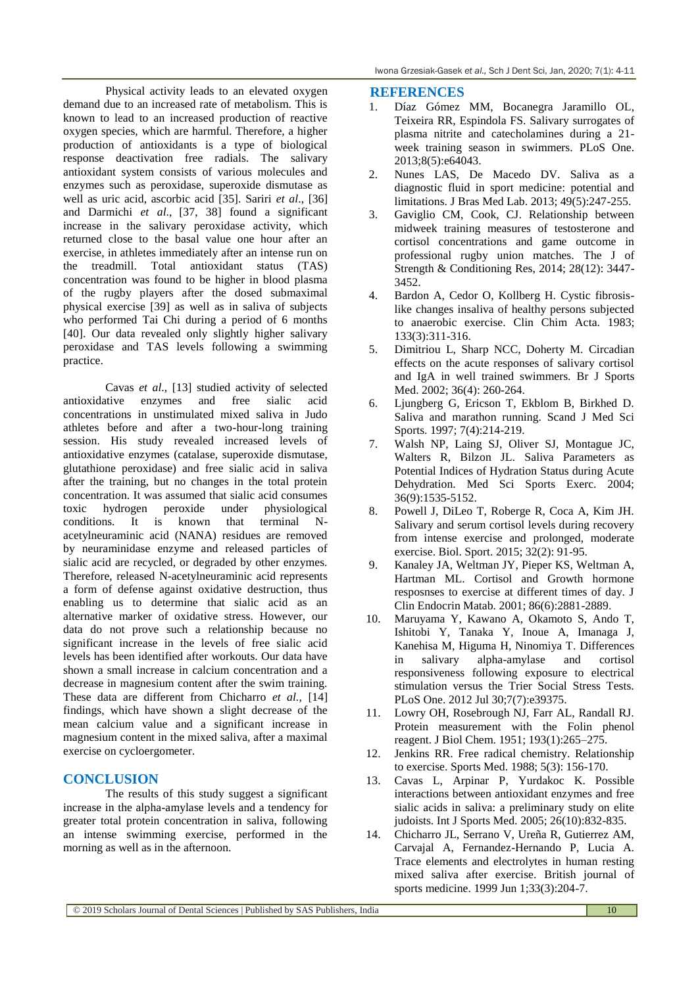Physical activity leads to an elevated oxygen demand due to an increased rate of metabolism. This is known to lead to an increased production of reactive oxygen species, which are harmful. Therefore, a higher production of antioxidants is a type of biological response deactivation free radials. The salivary antioxidant system consists of various molecules and enzymes such as peroxidase, superoxide dismutase as well as uric acid, ascorbic acid [35]. Sariri *et al*., [36] and Darmichi *et al*., [37, 38] found a significant increase in the salivary peroxidase activity, which returned close to the basal value one hour after an exercise, in athletes immediately after an intense run on the treadmill. Total antioxidant status (TAS) concentration was found to be higher in blood plasma of the rugby players after the dosed submaximal physical exercise [39] as well as in saliva of subjects who performed Tai Chi during a period of 6 months [40]. Our data revealed only slightly higher salivary peroxidase and TAS levels following a swimming practice.

Cavas *et al*., [13] studied activity of selected antioxidative enzymes and free sialic acid concentrations in unstimulated mixed saliva in Judo athletes before and after a two-hour-long training session. His study revealed increased levels of antioxidative enzymes (catalase, superoxide dismutase, glutathione peroxidase) and free sialic acid in saliva after the training, but no changes in the total protein concentration. It was assumed that sialic acid consumes toxic hydrogen peroxide under physiological conditions. It is known that terminal Nacetylneuraminic acid (NANA) residues are removed by neuraminidase enzyme and released particles of sialic acid are recycled, or degraded by other enzymes. Therefore, released N-acetylneuraminic acid represents a form of defense against oxidative destruction, thus enabling us to determine that sialic acid as an alternative marker of oxidative stress. However, our data do not prove such a relationship because no significant increase in the levels of free sialic acid levels has been identified after workouts. Our data have shown a small increase in calcium concentration and a decrease in magnesium content after the swim training. These data are different from Chicharro *et al.,* [14] findings, which have shown a slight decrease of the mean calcium value and a significant increase in magnesium content in the mixed saliva, after a maximal exercise on cycloergometer.

# **CONCLUSION**

The results of this study suggest a significant increase in the alpha-amylase levels and a tendency for greater total protein concentration in saliva, following an intense swimming exercise, performed in the morning as well as in the afternoon.

## **REFERENCES**

- 1. [Díaz Gómez MM,](http://www.ncbi.nlm.nih.gov/pubmed/?term=D%C3%ADaz%20G%C3%B3mez%20MM%5BAuthor%5D&cauthor=true&cauthor_uid=23700456) [Bocanegra Jaramillo OL,](http://www.ncbi.nlm.nih.gov/pubmed/?term=Bocanegra%20Jaramillo%20OL%5BAuthor%5D&cauthor=true&cauthor_uid=23700456) [Teixeira RR,](http://www.ncbi.nlm.nih.gov/pubmed/?term=Teixeira%20RR%5BAuthor%5D&cauthor=true&cauthor_uid=23700456) [Espindola FS.](http://www.ncbi.nlm.nih.gov/pubmed/?term=Espindola%20FS%5BAuthor%5D&cauthor=true&cauthor_uid=23700456) Salivary surrogates of plasma nitrite and catecholamines during a 21 week training season in swimmers. [PLoS One.](http://www.ncbi.nlm.nih.gov/pubmed/23700456) 2013;8(5):e64043.
- 2. Nunes LAS, De Macedo DV. Saliva as a diagnostic fluid in sport medicine: potential and limitations. J Bras Med Lab. 2013; 49(5):247-255.
- 3. Gaviglio CM, Cook, CJ. Relationship between midweek training measures of testosterone and cortisol concentrations and game outcome in professional rugby union matches. The J of Strength & Conditioning Res, 2014; 28(12): 3447- 3452.
- 4. Bardon A, Cedor O, Kollberg H. Cystic fibrosislike changes insaliva of healthy persons subjected to anaerobic exercise. Clin Chim Acta. 1983; 133(3):311-316.
- 5. Dimitriou L, Sharp NCC, Doherty M. Circadian effects on the acute responses of salivary cortisol and IgA in well trained swimmers. Br J Sports Med. 2002; 36(4): 260-264.
- 6. Ljungberg G, Ericson T, Ekblom B, Birkhed D. Saliva and marathon running. Scand J Med Sci Sports. 1997; 7(4):214-219.
- 7. Walsh NP, Laing SJ, Oliver SJ, Montague JC, Walters R, Bilzon JL. Saliva Parameters as Potential Indices of Hydration Status during Acute Dehydration. Med Sci Sports Exerc. 2004; 36(9):1535-5152.
- 8. Powell J, DiLeo T, Roberge R, Coca A, Kim JH. Salivary and serum cortisol levels during recovery from intense exercise and prolonged, moderate exercise. Biol. Sport. 2015; 32(2): 91-95.
- 9. Kanaley JA, Weltman JY, Pieper KS, Weltman A, Hartman ML. Cortisol and Growth hormone resposnses to exercise at different times of day. J Clin Endocrin Matab. 2001; 86(6):2881-2889.
- 10. Maruyama Y, Kawano A, Okamoto S, Ando T, Ishitobi Y, Tanaka Y, Inoue A, Imanaga J, Kanehisa M, Higuma H, Ninomiya T. Differences in salivary alpha-amylase and cortisol responsiveness following exposure to electrical stimulation versus the Trier Social Stress Tests. PLoS One. 2012 Jul 30;7(7):e39375.
- 11. Lowry OH, Rosebrough NJ, Farr AL, Randall RJ. Protein measurement with the Folin phenol reagent. J Biol Chem. 1951; 193(1):265–275.
- 12. [Jenkins RR.](http://www.ncbi.nlm.nih.gov/sites/entrez?Db=pubmed&Cmd=Search&Term=%22Jenkins%20RR%22%5BAuthor%5D&itool=EntrezSystem2.PEntrez.Pubmed.Pubmed_ResultsPanel.Pubmed_DiscoveryPanel.Pubmed_RVAbstractPlus) Free radical chemistry. Relationship to exercise. [Sports Med.](javascript:AL_get(this,%20) 1988; 5(3): 156-170.
- 13. [Cavas L,](http://www.ncbi.nlm.nih.gov/sites/entrez?Db=pubmed&Cmd=Search&Term=%22Cavas%20L%22%5BAuthor%5D&itool=EntrezSystem2.PEntrez.Pubmed.Pubmed_ResultsPanel.Pubmed_DiscoveryPanel.Pubmed_RVAbstractPlus) [Arpinar P,](http://www.ncbi.nlm.nih.gov/sites/entrez?Db=pubmed&Cmd=Search&Term=%22Arpinar%20P%22%5BAuthor%5D&itool=EntrezSystem2.PEntrez.Pubmed.Pubmed_ResultsPanel.Pubmed_DiscoveryPanel.Pubmed_RVAbstractPlus) [Yurdakoc K.](http://www.ncbi.nlm.nih.gov/sites/entrez?Db=pubmed&Cmd=Search&Term=%22Yurdakoc%20K%22%5BAuthor%5D&itool=EntrezSystem2.PEntrez.Pubmed.Pubmed_ResultsPanel.Pubmed_DiscoveryPanel.Pubmed_RVAbstractPlus) Possible interactions between antioxidant enzymes and free sialic acids in saliva: a preliminary study on elite judoists[. Int J Sports Med.](javascript:AL_get(this,%20) 2005; 26(10):832-835.
- 14. Chicharro JL, Serrano V, Ureña R, Gutierrez AM, Carvajal A, Fernandez-Hernando P, Lucia A. Trace elements and electrolytes in human resting mixed saliva after exercise. British journal of sports medicine. 1999 Jun 1;33(3):204-7.

© 2019 Scholars Journal of Dental Sciences | Published by SAS Publishers, India 10